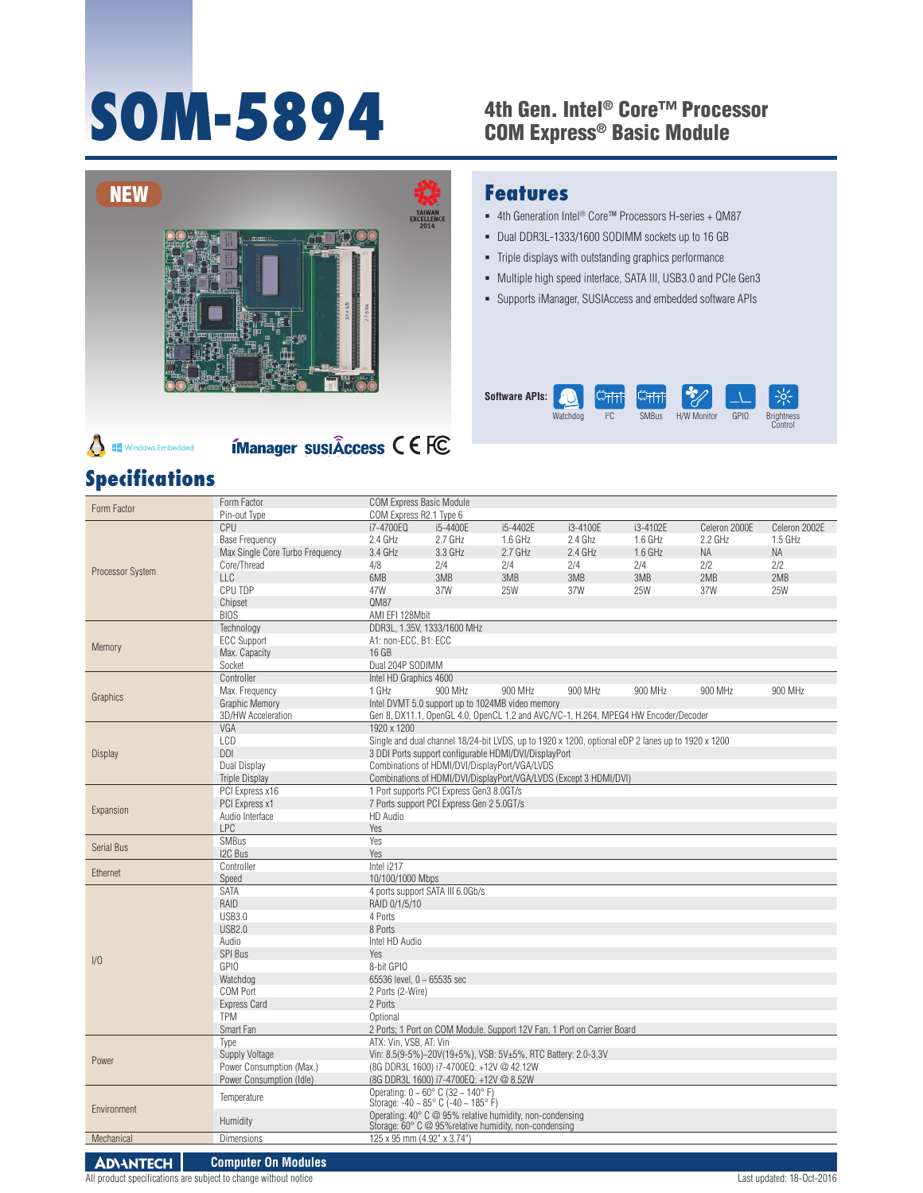# SOM-5894

# 4th Gen. Intel® Core™ Processor<br>COM Express® Basic Module



**ÍManager susiÂccess C E FC** 

#### **Features**

- 4th Generation Intel<sup>®</sup> Core™ Processors H-series + QM87
- Dual DDR3L-1333/1600 SODIMM sockets up to 16 GB
- Triple displays with outstanding graphics performance
- Multiple high speed interface, SATA III, USB3.0 and PCIe Gen3
- Supports iManager, SUSIAccess and embedded software APIs



#### $\triangle$ **Windows Embedded**

| <b>Specifications</b> |                                                                             |                                                                                                                                         |                                                            |           |           |            |               |               |  |  |  |  |  |
|-----------------------|-----------------------------------------------------------------------------|-----------------------------------------------------------------------------------------------------------------------------------------|------------------------------------------------------------|-----------|-----------|------------|---------------|---------------|--|--|--|--|--|
|                       | Form Factor                                                                 |                                                                                                                                         | <b>COM Express Basic Module</b>                            |           |           |            |               |               |  |  |  |  |  |
| Form Factor           | Pin-out Type                                                                | COM Express R2.1 Type 6                                                                                                                 |                                                            |           |           |            |               |               |  |  |  |  |  |
|                       | CPU                                                                         | i7-4700EQ                                                                                                                               | i5-4400E                                                   | i5-4402E  | i3-4100E  | i3-4102E   | Celeron 2000E | Celeron 2002E |  |  |  |  |  |
|                       | <b>Base Frequency</b>                                                       | $2.4$ GHz                                                                                                                               | $2.7$ GHz                                                  | $1.6$ GHz | 2.4 Ghz   | $1.6$ GHz  | $2.2$ GHz     | $1.5$ GHz     |  |  |  |  |  |
|                       | Max Single Core Turbo Frequency                                             | 3.4 GHz                                                                                                                                 | 3.3 GHz                                                    | $2.7$ GHz | $2.4$ GHz | $1.6$ GHz  | <b>NA</b>     | <b>NA</b>     |  |  |  |  |  |
|                       | Core/Thread                                                                 | 4/8                                                                                                                                     | 2/4                                                        | 2/4       | 2/4       | 2/4        | 2/2           | 2/2           |  |  |  |  |  |
| Processor System      | LLC                                                                         | 6MB                                                                                                                                     | 3MB                                                        | 3MB       | 3MB       | 3MB        | 2MB           | 2MB           |  |  |  |  |  |
|                       | CPU TDP                                                                     | 47W                                                                                                                                     | 37W                                                        | 25W       | 37W       | <b>25W</b> | 37W           | <b>25W</b>    |  |  |  |  |  |
|                       | Chipset                                                                     | QM87                                                                                                                                    |                                                            |           |           |            |               |               |  |  |  |  |  |
|                       | <b>BIOS</b>                                                                 | AMI EFI 128Mbit                                                                                                                         |                                                            |           |           |            |               |               |  |  |  |  |  |
|                       | Technology                                                                  | DDR3L, 1.35V, 1333/1600 MHz                                                                                                             |                                                            |           |           |            |               |               |  |  |  |  |  |
|                       | <b>ECC Support</b>                                                          | A1: non-ECC, B1: ECC                                                                                                                    |                                                            |           |           |            |               |               |  |  |  |  |  |
| Memory                | Max. Capacity                                                               | 16 GB                                                                                                                                   |                                                            |           |           |            |               |               |  |  |  |  |  |
|                       | Socket                                                                      | Dual 204P SODIMM                                                                                                                        |                                                            |           |           |            |               |               |  |  |  |  |  |
|                       | Controller                                                                  | Intel HD Graphics 4600                                                                                                                  |                                                            |           |           |            |               |               |  |  |  |  |  |
|                       | Max. Frequency                                                              | 1 GHz                                                                                                                                   | 900 MHz                                                    | 900 MHz   | 900 MHz   | 900 MHz    | 900 MHz       | 900 MHz       |  |  |  |  |  |
| Graphics              | <b>Graphic Memory</b>                                                       |                                                                                                                                         |                                                            |           |           |            |               |               |  |  |  |  |  |
|                       | 3D/HW Acceleration                                                          | Intel DVMT 5.0 support up to 1024MB video memory<br>Gen 8, DX11.1, OpenGL 4.0, OpenCL 1.2 and AVC/VC-1, H.264, MPEG4 HW Encoder/Decoder |                                                            |           |           |            |               |               |  |  |  |  |  |
|                       | VGA                                                                         | 1920 x 1200                                                                                                                             |                                                            |           |           |            |               |               |  |  |  |  |  |
|                       | LCD                                                                         | Single and dual channel 18/24-bit LVDS, up to 1920 x 1200, optional eDP 2 lanes up to 1920 x 1200                                       |                                                            |           |           |            |               |               |  |  |  |  |  |
| Display               | <b>DDI</b>                                                                  | 3 DDI Ports support configurable HDMI/DVI/DisplayPort                                                                                   |                                                            |           |           |            |               |               |  |  |  |  |  |
|                       | Dual Display                                                                | Combinations of HDMI/DVI/DisplayPort/VGA/LVDS                                                                                           |                                                            |           |           |            |               |               |  |  |  |  |  |
|                       | <b>Triple Display</b>                                                       | Combinations of HDMI/DVI/DisplayPort/VGA/LVDS (Except 3 HDMI/DVI)                                                                       |                                                            |           |           |            |               |               |  |  |  |  |  |
|                       | PCI Express x16                                                             | 1 Port supports PCI Express Gen3 8.0GT/s                                                                                                |                                                            |           |           |            |               |               |  |  |  |  |  |
|                       | PCI Express x1<br>7 Ports support PCI Express Gen 2 5.0GT/s                 |                                                                                                                                         |                                                            |           |           |            |               |               |  |  |  |  |  |
| Expansion             | Audio Interface                                                             | HD Audio                                                                                                                                |                                                            |           |           |            |               |               |  |  |  |  |  |
|                       | <b>LPC</b>                                                                  | Yes                                                                                                                                     |                                                            |           |           |            |               |               |  |  |  |  |  |
|                       | <b>SMBus</b>                                                                | Yes                                                                                                                                     |                                                            |           |           |            |               |               |  |  |  |  |  |
| Serial Bus            | I2C Bus                                                                     | Yes                                                                                                                                     |                                                            |           |           |            |               |               |  |  |  |  |  |
|                       | Controller                                                                  | Intel i217                                                                                                                              |                                                            |           |           |            |               |               |  |  |  |  |  |
| Ethernet              | Speed                                                                       | 10/100/1000 Mbps                                                                                                                        |                                                            |           |           |            |               |               |  |  |  |  |  |
|                       | <b>SATA</b>                                                                 | 4 ports support SATA III 6.0Gb/s                                                                                                        |                                                            |           |           |            |               |               |  |  |  |  |  |
|                       | RAID                                                                        | RAID 0/1/5/10                                                                                                                           |                                                            |           |           |            |               |               |  |  |  |  |  |
|                       | <b>USB3.0</b>                                                               | 4 Ports                                                                                                                                 |                                                            |           |           |            |               |               |  |  |  |  |  |
|                       | <b>USB2.0</b>                                                               | 8 Ports                                                                                                                                 |                                                            |           |           |            |               |               |  |  |  |  |  |
|                       | Audio<br>Intel HD Audio                                                     |                                                                                                                                         |                                                            |           |           |            |               |               |  |  |  |  |  |
|                       | <b>SPI Bus</b><br>Yes                                                       |                                                                                                                                         |                                                            |           |           |            |               |               |  |  |  |  |  |
| 1/0                   | GPIO                                                                        | 8-bit GPIO                                                                                                                              |                                                            |           |           |            |               |               |  |  |  |  |  |
|                       | Watchdog                                                                    | 65536 level, 0 ~ 65535 sec                                                                                                              |                                                            |           |           |            |               |               |  |  |  |  |  |
|                       | COM Port                                                                    | 2 Ports (2-Wire)                                                                                                                        |                                                            |           |           |            |               |               |  |  |  |  |  |
|                       | <b>Express Card</b>                                                         | 2 Ports                                                                                                                                 |                                                            |           |           |            |               |               |  |  |  |  |  |
|                       | <b>TPM</b>                                                                  | Optional                                                                                                                                |                                                            |           |           |            |               |               |  |  |  |  |  |
|                       |                                                                             | 2 Ports; 1 Port on COM Module. Support 12V Fan, 1 Port on Carrier Board<br>Smart Fan                                                    |                                                            |           |           |            |               |               |  |  |  |  |  |
| Power                 | ATX: Vin. VSB. AT: Vin<br>Type                                              |                                                                                                                                         |                                                            |           |           |            |               |               |  |  |  |  |  |
|                       |                                                                             | Vin: 8.5(9-5%)~20V(19+5%), VSB: 5V±5%, RTC Battery: 2.0-3.3V<br>Supply Voltage                                                          |                                                            |           |           |            |               |               |  |  |  |  |  |
|                       | Power Consumption (Max.)                                                    | (8G DDR3L 1600) i7-4700EQ: +12V @ 42.12W                                                                                                |                                                            |           |           |            |               |               |  |  |  |  |  |
|                       | Power Consumption (Idle)                                                    | (8G DDR3L 1600) i7-4700EQ: +12V @ 8.52W                                                                                                 |                                                            |           |           |            |               |               |  |  |  |  |  |
|                       |                                                                             |                                                                                                                                         | Operating: $0 \sim 60^{\circ}$ C (32 $\sim 140^{\circ}$ F) |           |           |            |               |               |  |  |  |  |  |
|                       | Temperature<br>Storage: $-40 \sim 85^{\circ}$ C ( $-40 \sim 185^{\circ}$ F) |                                                                                                                                         |                                                            |           |           |            |               |               |  |  |  |  |  |
| Environment           | Humidity                                                                    | Operating: 40° C @ 95% relative humidity, non-condensing<br>Storage: 60° C @ 95% relative humidity, non-condensing                      |                                                            |           |           |            |               |               |  |  |  |  |  |

**ADVANTECH Computer On Modules**

Mechanical Dimensions 125 x 95 mm (4.92" x 3.74")

 $\mathcal{L}(\mathcal{L})$